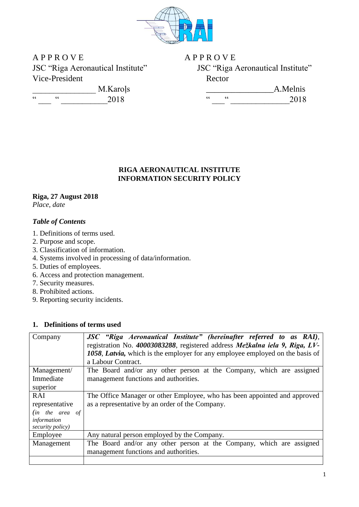

A P P R O V E A P P R O V E Vice-President Rector

JSC "Riga Aeronautical Institute" JSC "Riga Aeronautical Institute"

|    | M.Karols |
|----|----------|
| ۷۷ | 2018     |

 $\frac{1}{2018}$  A.Melnis  $\frac{1}{2018}$   $\frac{1}{2018}$   $\frac{1}{2018}$   $\frac{1}{2018}$   $\frac{2018}{2018}$ 

# **RIGA AERONAUTICAL INSTITUTE INFORMATION SECURITY POLICY**

# **Riga, 27 August 2018**

*Place, date*

# *Table of Contents*

- 1. Definitions of terms used.
- 2. Purpose and scope.
- 3. Classification of information.
- 4. Systems involved in processing of data/information.
- 5. Duties of employees.
- 6. Access and protection management.
- 7. Security measures.
- 8. Prohibited actions.
- 9. Reporting security incidents.

# **1. Definitions of terms used**

| Company           | JSC "Riga Aeronautical Institute" (hereinafter referred to as RAI),<br>registration No. 40003083288, registered address Mežkalna iela 9, Riga, LV-<br>1058, Latvia, which is the employer for any employee employed on the basis of<br>a Labour Contract. |  |  |  |  |
|-------------------|-----------------------------------------------------------------------------------------------------------------------------------------------------------------------------------------------------------------------------------------------------------|--|--|--|--|
| Management/       | The Board and/or any other person at the Company, which are assigned                                                                                                                                                                                      |  |  |  |  |
| Immediate         | management functions and authorities.                                                                                                                                                                                                                     |  |  |  |  |
| superior          |                                                                                                                                                                                                                                                           |  |  |  |  |
| RAI               | The Office Manager or other Employee, who has been appointed and approved                                                                                                                                                                                 |  |  |  |  |
| representative    | as a representative by an order of the Company.                                                                                                                                                                                                           |  |  |  |  |
| $(in$ the area of |                                                                                                                                                                                                                                                           |  |  |  |  |
| information       |                                                                                                                                                                                                                                                           |  |  |  |  |
| security policy)  |                                                                                                                                                                                                                                                           |  |  |  |  |
| Employee          | Any natural person employed by the Company.                                                                                                                                                                                                               |  |  |  |  |
| Management        | The Board and/or any other person at the Company, which are assigned                                                                                                                                                                                      |  |  |  |  |
|                   | management functions and authorities.                                                                                                                                                                                                                     |  |  |  |  |
|                   |                                                                                                                                                                                                                                                           |  |  |  |  |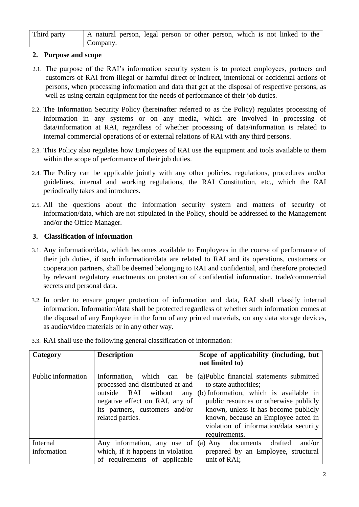| Third party | A natural person, legal person or other person, which is not linked to the |  |  |  |  |  |  |
|-------------|----------------------------------------------------------------------------|--|--|--|--|--|--|
|             | Company.                                                                   |  |  |  |  |  |  |

## **2. Purpose and scope**

- 2.1. The purpose of the RAI's information security system is to protect employees, partners and customers of RAI from illegal or harmful direct or indirect, intentional or accidental actions of persons, when processing information and data that get at the disposal of respective persons, as well as using certain equipment for the needs of performance of their job duties.
- 2.2. The Information Security Policy (hereinafter referred to as the Policy) regulates processing of information in any systems or on any media, which are involved in processing of data/information at RAI, regardless of whether processing of data/information is related to internal commercial operations of or external relations of RAI with any third persons.
- 2.3. This Policy also regulates how Employees of RAI use the equipment and tools available to them within the scope of performance of their job duties.
- 2.4. The Policy can be applicable jointly with any other policies, regulations, procedures and/or guidelines, internal and working regulations, the RAI Constitution, etc., which the RAI periodically takes and introduces.
- 2.5. All the questions about the information security system and matters of security of information/data, which are not stipulated in the Policy, should be addressed to the Management and/or the Office Manager*.*

#### **3. Classification of information**

- 3.1. Any information/data, which becomes available to Employees in the course of performance of their job duties, if such information/data are related to RAI and its operations, customers or cooperation partners, shall be deemed belonging to RAI and confidential, and therefore protected by relevant regulatory enactments on protection of confidential information, trade/commercial secrets and personal data.
- 3.2. In order to ensure proper protection of information and data, RAI shall classify internal information. Information/data shall be protected regardless of whether such information comes at the disposal of any Employee in the form of any printed materials, on any data storage devices, as audio/video materials or in any other way.

| Category           | <b>Description</b>                                                                                                                                                                     | Scope of applicability (including, but<br>not limited to)                                                                                                                                                                                                                                          |
|--------------------|----------------------------------------------------------------------------------------------------------------------------------------------------------------------------------------|----------------------------------------------------------------------------------------------------------------------------------------------------------------------------------------------------------------------------------------------------------------------------------------------------|
| Public information | Information,<br>which can<br>processed and distributed at and<br>outside<br>RAI without<br>any<br>negative effect on RAI, any of<br>its partners, customers and/or<br>related parties. | be (a)Public financial statements submitted<br>to state authorities;<br>(b) Information, which is available in<br>public resources or otherwise publicly<br>known, unless it has become publicly<br>known, because an Employee acted in<br>violation of information/data security<br>requirements. |
| Internal           | Any information, any use of $ (a)$ Any                                                                                                                                                 | drafted<br>and/or<br>documents                                                                                                                                                                                                                                                                     |
| information        | which, if it happens in violation                                                                                                                                                      | prepared by an Employee, structural                                                                                                                                                                                                                                                                |
|                    | of requirements of applicable                                                                                                                                                          | unit of RAI;                                                                                                                                                                                                                                                                                       |

3.3. RAI shall use the following general classification of information: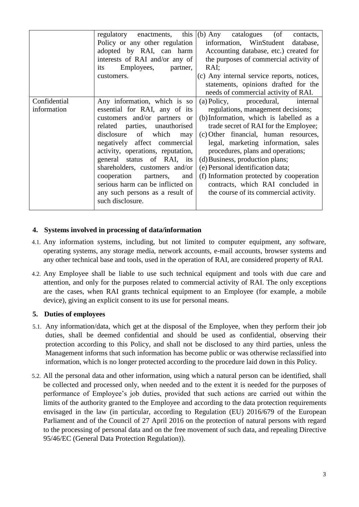|                             | regulatory enactments, this $(6)$ Any<br>Policy or any other regulation<br>adopted by RAI, can harm<br>interests of RAI and/or any of<br>Employees,<br>its<br>partner,<br>customers.                                                                                                                                                                                                                                            | catalogues (of<br>contacts,<br>information, WinStudent database,<br>Accounting database, etc.) created for<br>the purposes of commercial activity of<br>RAI;<br>(c) Any internal service reports, notices,<br>statements, opinions drafted for the<br>needs of commercial activity of RAI.                                                                                                                                                                                            |
|-----------------------------|---------------------------------------------------------------------------------------------------------------------------------------------------------------------------------------------------------------------------------------------------------------------------------------------------------------------------------------------------------------------------------------------------------------------------------|---------------------------------------------------------------------------------------------------------------------------------------------------------------------------------------------------------------------------------------------------------------------------------------------------------------------------------------------------------------------------------------------------------------------------------------------------------------------------------------|
| Confidential<br>information | Any information, which is so<br>essential for RAI, any of its<br>customers and/or partners or<br>related parties, unauthorised<br>disclosure of which<br>may<br>negatively affect commercial<br>activity, operations, reputation,<br>general status of RAI, its<br>shareholders, customers and/or<br>cooperation<br>and<br>partners,<br>serious harm can be inflicted on<br>any such persons as a result of<br>such disclosure. | (a) Policy, procedural,<br>internal<br>regulations, management decisions;<br>(b) Information, which is labelled as a<br>trade secret of RAI for the Employee;<br>(c) Other financial, human resources,<br>legal, marketing information, sales<br>procedures, plans and operations;<br>(d) Business, production plans;<br>(e) Personal identification data;<br>(f) Information protected by cooperation<br>contracts, which RAI concluded in<br>the course of its commercial activity. |

## **4. Systems involved in processing of data/information**

- 4.1. Any information systems, including, but not limited to computer equipment, any software, operating systems, any storage media, network accounts, e-mail accounts, browser systems and any other technical base and tools, used in the operation of RAI, are considered property of RAI.
- 4.2. Any Employee shall be liable to use such technical equipment and tools with due care and attention, and only for the purposes related to commercial activity of RAI. The only exceptions are the cases, when RAI grants technical equipment to an Employee (for example, a mobile device), giving an explicit consent to its use for personal means.

## **5. Duties of employees**

- 5.1. Any information/data, which get at the disposal of the Employee, when they perform their job duties, shall be deemed confidential and should be used as confidential, observing their protection according to this Policy, and shall not be disclosed to any third parties, unless the Management informs that such information has become public or was otherwise reclassified into information, which is no longer protected according to the procedure laid down in this Policy.
- 5.2. All the personal data and other information, using which a natural person can be identified, shall be collected and processed only, when needed and to the extent it is needed for the purposes of performance of Employee's job duties, provided that such actions are carried out within the limits of the authority granted to the Employee and according to the data protection requirements envisaged in the law (in particular, according to Regulation (EU) 2016/679 of the European Parliament and of the Council of 27 April 2016 on the protection of natural persons with regard to the processing of personal data and on the free movement of such data, and repealing Directive 95/46/EC (General Data Protection Regulation)).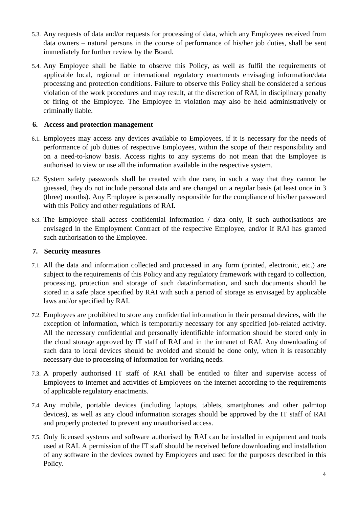- 5.3. Any requests of data and/or requests for processing of data, which any Employees received from data owners – natural persons in the course of performance of his/her job duties, shall be sent immediately for further review by the Board.
- 5.4. Any Employee shall be liable to observe this Policy, as well as fulfil the requirements of applicable local, regional or international regulatory enactments envisaging information/data processing and protection conditions. Failure to observe this Policy shall be considered a serious violation of the work procedures and may result, at the discretion of RAI, in disciplinary penalty or firing of the Employee. The Employee in violation may also be held administratively or criminally liable.

## **6. Access and protection management**

- 6.1. Employees may access any devices available to Employees, if it is necessary for the needs of performance of job duties of respective Employees, within the scope of their responsibility and on a need-to-know basis. Access rights to any systems do not mean that the Employee is authorised to view or use all the information available in the respective system.
- 6.2. System safety passwords shall be created with due care, in such a way that they cannot be guessed, they do not include personal data and are changed on a regular basis (at least once in 3 (three) months). Any Employee is personally responsible for the compliance of his/her password with this Policy and other regulations of RAI.
- 6.3. The Employee shall access confidential information / data only, if such authorisations are envisaged in the Employment Contract of the respective Employee, and/or if RAI has granted such authorisation to the Employee.

#### **7. Security measures**

- 7.1. All the data and information collected and processed in any form (printed, electronic, etc.) are subject to the requirements of this Policy and any regulatory framework with regard to collection, processing, protection and storage of such data/information, and such documents should be stored in a safe place specified by RAI with such a period of storage as envisaged by applicable laws and/or specified by RAI.
- 7.2. Employees are prohibited to store any confidential information in their personal devices, with the exception of information, which is temporarily necessary for any specified job-related activity. All the necessary confidential and personally identifiable information should be stored only in the cloud storage approved by IT staff of RAI and in the intranet of RAI. Any downloading of such data to local devices should be avoided and should be done only, when it is reasonably necessary due to processing of information for working needs.
- 7.3. A properly authorised IT staff of RAI shall be entitled to filter and supervise access of Employees to internet and activities of Employees on the internet according to the requirements of applicable regulatory enactments.
- 7.4. Any mobile, portable devices (including laptops, tablets, smartphones and other palmtop devices), as well as any cloud information storages should be approved by the IT staff of RAI and properly protected to prevent any unauthorised access.
- 7.5. Only licensed systems and software authorised by RAI can be installed in equipment and tools used at RAI. A permission of the IT staff should be received before downloading and installation of any software in the devices owned by Employees and used for the purposes described in this Policy.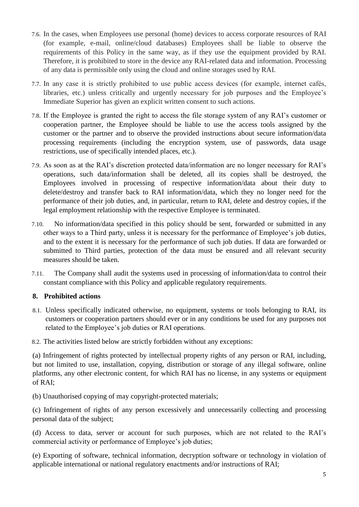- 7.6. In the cases, when Employees use personal (home) devices to access corporate resources of RAI (for example, e-mail, online/cloud databases) Employees shall be liable to observe the requirements of this Policy in the same way, as if they use the equipment provided by RAI. Therefore, it is prohibited to store in the device any RAI-related data and information. Processing of any data is permissible only using the cloud and online storages used by RAI.
- 7.7. In any case it is strictly prohibited to use public access devices (for example, internet cafés, libraries, etc.) unless critically and urgently necessary for job purposes and the Employee's Immediate Superior has given an explicit written consent to such actions.
- 7.8. If the Employee is granted the right to access the file storage system of any RAI's customer or cooperation partner, the Employee should be liable to use the access tools assigned by the customer or the partner and to observe the provided instructions about secure information/data processing requirements (including the encryption system, use of passwords, data usage restrictions, use of specifically intended places, etc.).
- 7.9. As soon as at the RAI's discretion protected data/information are no longer necessary for RAI's operations, such data/information shall be deleted, all its copies shall be destroyed, the Employees involved in processing of respective information/data about their duty to delete/destroy and transfer back to RAI information/data, which they no longer need for the performance of their job duties, and, in particular, return to RAI, delete and destroy copies, if the legal employment relationship with the respective Employee is terminated.
- 7.10. No information/data specified in this policy should be sent, forwarded or submitted in any other ways to a Third party, unless it is necessary for the performance of Employee's job duties, and to the extent it is necessary for the performance of such job duties. If data are forwarded or submitted to Third parties, protection of the data must be ensured and all relevant security measures should be taken.
- 7.11. The Company shall audit the systems used in processing of information/data to control their constant compliance with this Policy and applicable regulatory requirements.

## **8. Prohibited actions**

8.1. Unless specifically indicated otherwise, no equipment, systems or tools belonging to RAI, its customers or cooperation partners should ever or in any conditions be used for any purposes not related to the Employee's job duties or RAI operations.

8.2. The activities listed below are strictly forbidden without any exceptions:

(a) Infringement of rights protected by intellectual property rights of any person or RAI, including, but not limited to use, installation, copying, distribution or storage of any illegal software, online platforms, any other electronic content, for which RAI has no license, in any systems or equipment of RAI;

(b) Unauthorised copying of may copyright-protected materials;

(c) Infringement of rights of any person excessively and unnecessarily collecting and processing personal data of the subject;

(d) Access to data, server or account for such purposes, which are not related to the RAI's commercial activity or performance of Employee's job duties;

(e) Exporting of software, technical information, decryption software or technology in violation of applicable international or national regulatory enactments and/or instructions of RAI;